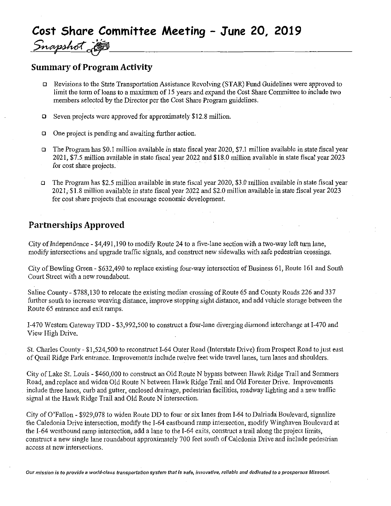# Cost Share Committee Meeting - June 20, 2019<br>Snapshot in the committee Meeting - June 20, 2019 Snapshot

## **Summary of Program Activity**

- a Revisions to the State Transportation Assistance Revolving (STAR) Fund Guidelines were approved to limit the term of loans to a maximum of <sup>15</sup> years and expand the Cost Share Committee to include two members selected by the Director per the Cost Share Program guidelines.
- a Seven projects were approved for approximately \$12.8 million.
- $\Box$  One project is pending and awaiting further action.
- a The Program has \$0. <sup>1</sup> million available in state fiscal year 2020, \$7.1 million available in state fiscal year 2021, \$7.5 inillion available instatefiscal year 2022 and\$ 18.0million available in state fiscal year 2023 for cost share projects.
- a The Program has \$2.5 million available in state fiscal year 2020, \$3.0 million available in state fiscal year 2021, \$1.8 million available in state fiscal year 2022 and \$2.0 million available m state fiscal year 2023 for cost share projects that encourage economic development.

### Partnerships Approved

City of Independence  $-$  \$4,491,190 to modify Route 24 to a five-lane section with a two-way left turn lane, modify intersections and upgrade traffic signals, and constmct new sidewalks with safe pedestrian crossings.

City of Bowling Green - \$632,490 to replace existing four-way intersection of Business 61, Route 161 and South Court Street with a new roundabout.

Saline County - \$788,130 to relocate the existing median crossing of Route 65 and County Roads 226 and 337 further south to increase weaving distance, improve stopping sight distance, and add vehicle storage between the Route 65 entrance and exit ramps.

1-470 Westem Gateway TDD - \$3,992,500 to constmct a four-Iane diverging diamond interchange at 1-470 and View High Drive.

St. Charles County - \$1,524,500 to reconstmct 1-64 Outer Road (Interstate Drive) from Prospect Road tojust east of Quail Ridge Park entrance. Improvements include twelve feet wide travel lanes, turn lanes and shoulders.

City of Lake St. Louis - \$460,000 to constmct an Old Route N bypass between Hawk Ridge Trail and Sommers Road, and replace and widen OId Route N between Hawk Ridge Trail and Old Forester Drive. Improvements include three lanes, curb and gutter, enclosed drainage, pedestrian facilities, roadway lighting and a new traffic signal at the Hawk Ridge Trail and Old Route N intersection.

City of O'FalIon - \$929,078 to widen Route DD to four or six lanes from 1-64 to Dalriada Boulevard, signalize the Caledonia Drive intersection, modify the 1-64 eastbound ramp intersection, modify Winghaven Boulevard at the 1-64 westbound ramp intersection, add a lane to the 1-64 exits, construct a trail along the project limits, construct a new single lane roundabout approximately 700 feet south of Caledonia Drive and include pedestrian access at new intersections.

Our mission is to provide a world-class transportation system that is safe, innovative, reliable and dedicated to a prosperous Missouri.